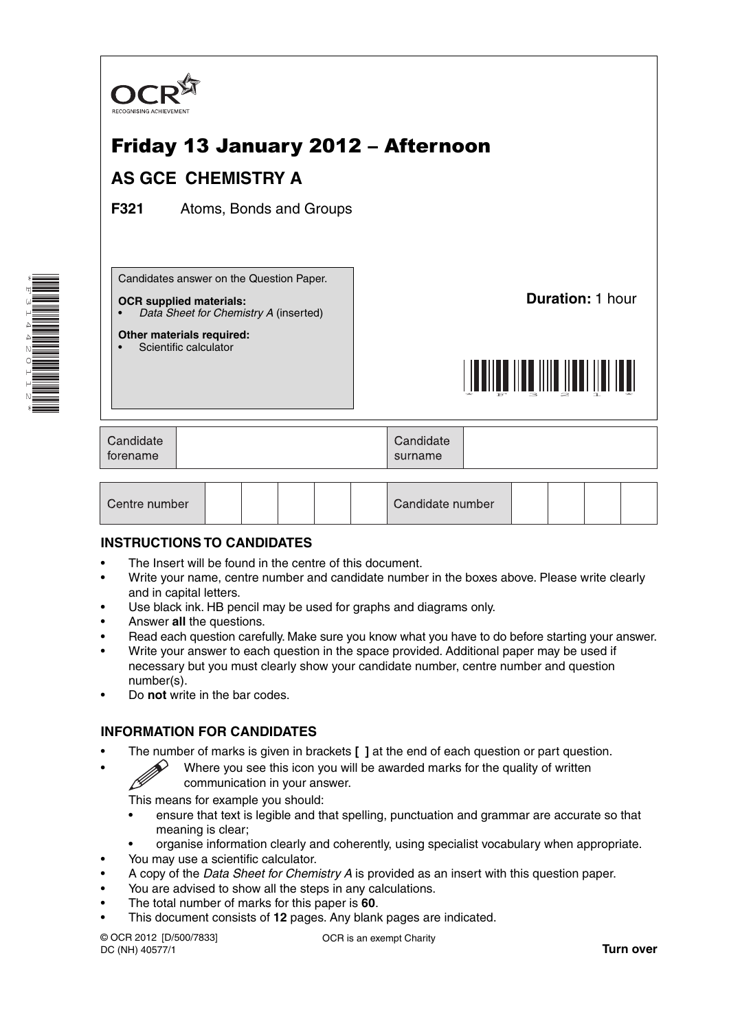

| Centre number | Candidate number |  |  |  |
|---------------|------------------|--|--|--|
|---------------|------------------|--|--|--|

## **INSTRUCTIONS TO CANDIDATES**

- The Insert will be found in the centre of this document.
- Write your name, centre number and candidate number in the boxes above. Please write clearly and in capital letters.
- Use black ink. HB pencil may be used for graphs and diagrams only.
- Answer **all** the questions.

\*F314420112\*

- Read each question carefully. Make sure you know what you have to do before starting your answer.
- Write your answer to each question in the space provided. Additional paper may be used if necessary but you must clearly show your candidate number, centre number and question number(s).
- Do **not** write in the bar codes.

## **INFORMATION FOR CANDIDATES**

- The number of marks is given in brackets **[ ]** at the end of each question or part question.
	- Where you see this icon you will be awarded marks for the quality of written communication in your answer.

This means for example you should:

- ensure that text is legible and that spelling, punctuation and grammar are accurate so that meaning is clear;
- organise information clearly and coherently, using specialist vocabulary when appropriate.
- You may use a scientific calculator.
- A copy of the *Data Sheet for Chemistry A* is provided as an insert with this question paper.
- You are advised to show all the steps in any calculations.
- The total number of marks for this paper is **60**.
- This document consists of **12** pages. Any blank pages are indicated.

© OCR 2012 [D/500/7833] DC (NH) 40577/1

OCR is an exempt Charity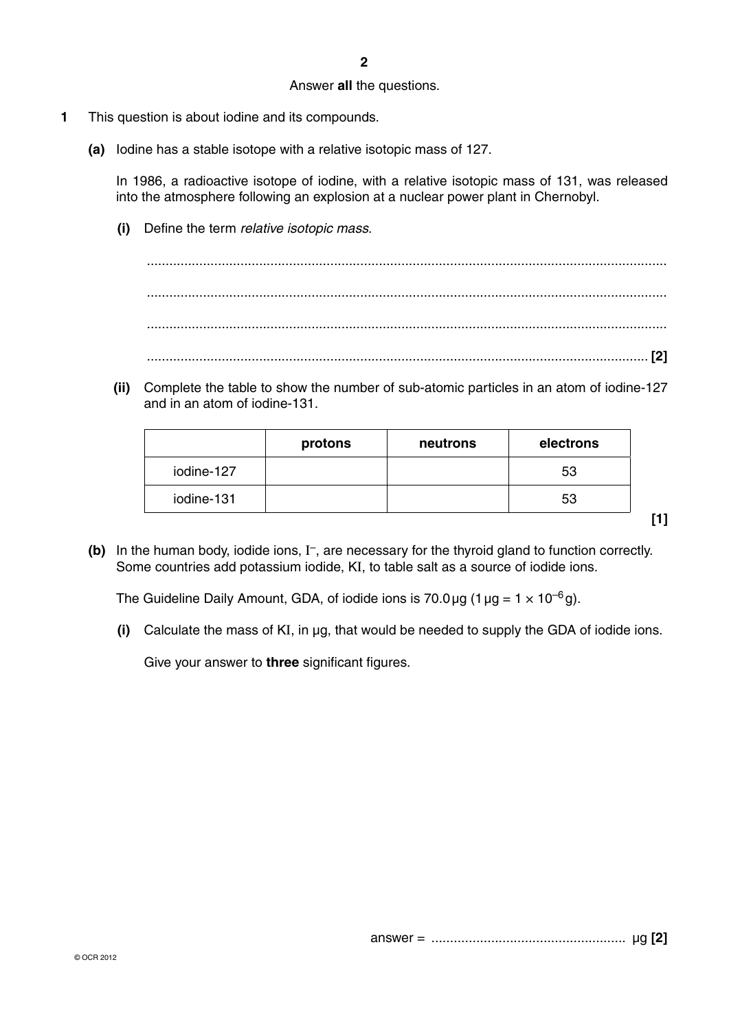## Answer **all** the questions.

- **1** This question is about iodine and its compounds.
	- **(a)** Iodine has a stable isotope with a relative isotopic mass of 127.

In 1986, a radioactive isotope of iodine, with a relative isotopic mass of 131, was released into the atmosphere following an explosion at a nuclear power plant in Chernobyl.

 **(i)** Define the term *relative isotopic mass*.

 ........................................................................................................................................... ........................................................................................................................................... ........................................................................................................................................... ...................................................................................................................................... **[2]**

 **(ii)** Complete the table to show the number of sub-atomic particles in an atom of iodine-127 and in an atom of iodine-131.

|            | protons | neutrons | electrons |
|------------|---------|----------|-----------|
| iodine-127 |         |          | -53       |
| iodine-131 |         |          | 53        |

**[1]**

 **(b)** In the human body, iodide ions, I –, are necessary for the thyroid gland to function correctly. Some countries add potassium iodide, KI, to table salt as a source of iodide ions.

The Guideline Daily Amount, GDA, of iodide ions is 70.0 µg (1 µg =  $1 \times 10^{-6}$  g).

 **(i)** Calculate the mass of KI, in µg, that would be needed to supply the GDA of iodide ions.

Give your answer to **three** significant figures.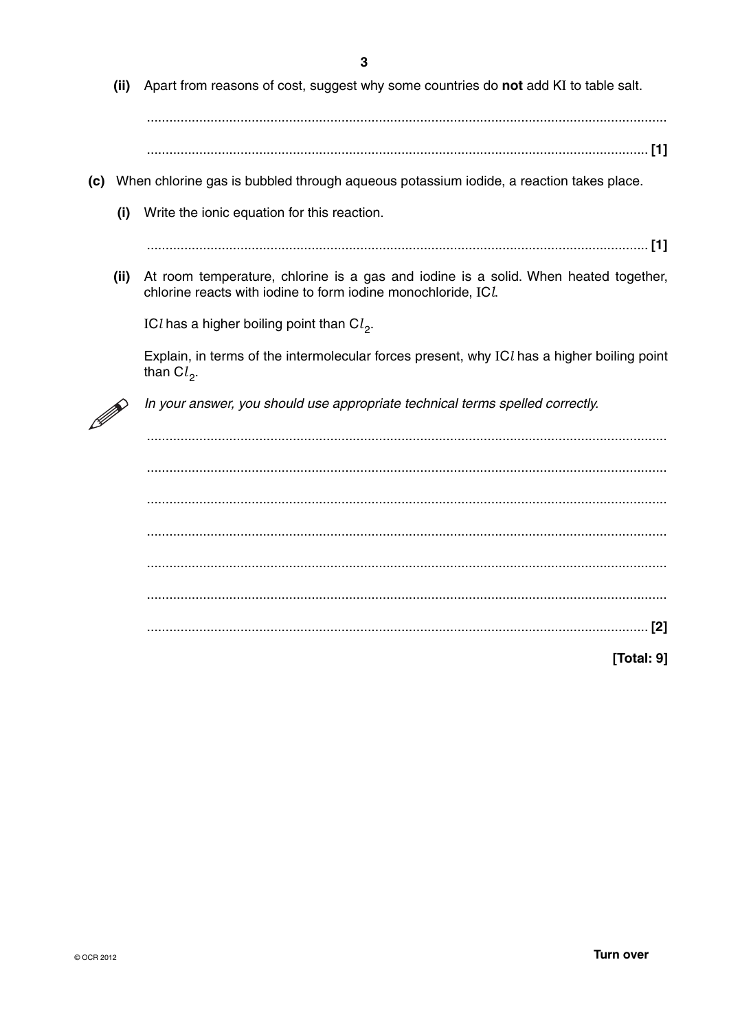(ii) Apart from reasons of cost, suggest why some countries do not add KI to table salt. (c) When chlorine gas is bubbled through agueous potassium iodide, a reaction takes place.  $(i)$ Write the ionic equation for this reaction. (ii) At room temperature, chlorine is a gas and iodine is a solid. When heated together, chlorine reacts with iodine to form iodine monochloride, ICL ICl has a higher boiling point than  $Cl_2$ . Explain, in terms of the intermolecular forces present, why ICl has a higher boiling point than  $Cl<sub>2</sub>$ . In your answer, you should use appropriate technical terms spelled correctly. 

[Total: 9]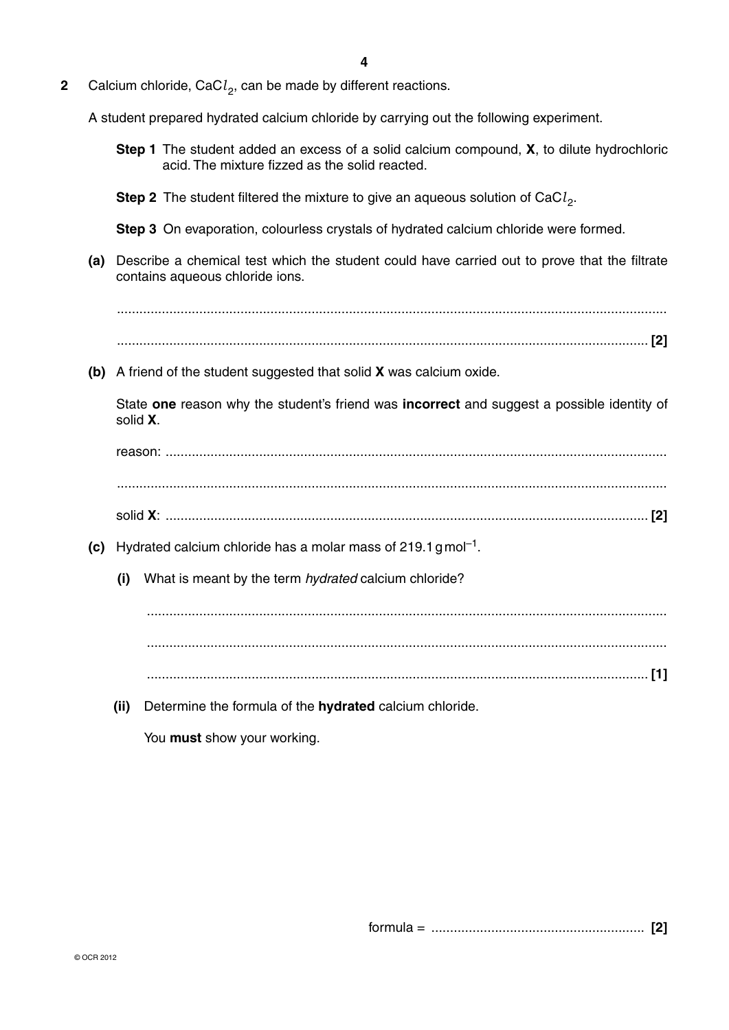**2** Calcium chloride, CaCl<sub>2</sub>, can be made by different reactions.

A student prepared hydrated calcium chloride by carrying out the following experiment.

- **Step 1** The student added an excess of a solid calcium compound, **X**, to dilute hydrochloric acid. The mixture fizzed as the solid reacted.
- **Step 2** The student filtered the mixture to give an aqueous solution of CaCl<sub>2</sub>.

 **Step 3** On evaporation, colourless crystals of hydrated calcium chloride were formed.

 **(a)** Describe a chemical test which the student could have carried out to prove that the filtrate contains aqueous chloride ions.

 ................................................................................................................................................... .............................................................................................................................................. **[2]**

 **(b)** A friend of the student suggested that solid **X** was calcium oxide.

State **one** reason why the student's friend was **incorrect** and suggest a possible identity of solid **X**.

reason: ...................................................................................................................................... ...................................................................................................................................................

- solid **X**: ................................................................................................................................. **[2]**
- **(c)** Hydrated calcium chloride has a molar mass of 219.1 gmol<sup>-1</sup>.
	- **(i)** What is meant by the term *hydrated* calcium chloride?

 ........................................................................................................................................... ........................................................................................................................................... ...................................................................................................................................... **[1]**

 **(ii)** Determine the formula of the **hydrated** calcium chloride.

You **must** show your working.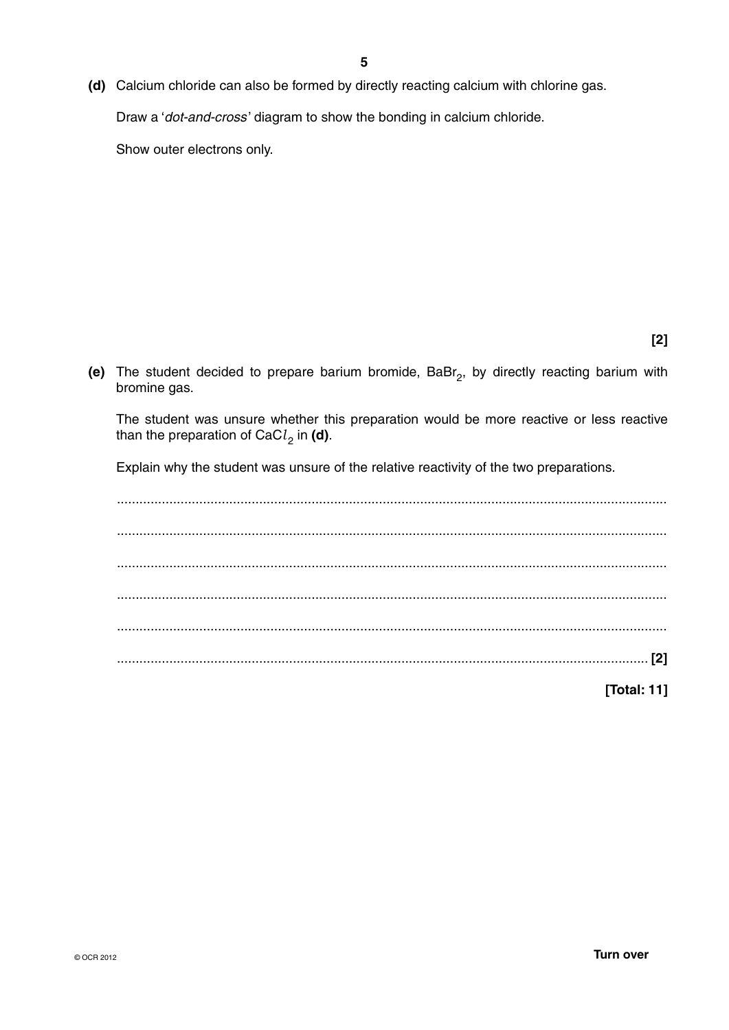**(d)** Calcium chloride can also be formed by directly reacting calcium with chlorine gas.

Draw a '*dot-and-cross* ' diagram to show the bonding in calcium chloride.

Show outer electrons only.

**[2]**

(e) The student decided to prepare barium bromide, BaBr<sub>2</sub>, by directly reacting barium with bromine gas.

The student was unsure whether this preparation would be more reactive or less reactive than the preparation of CaC $l_2$  in (d).

Explain why the student was unsure of the relative reactivity of the two preparations.

 ................................................................................................................................................... ................................................................................................................................................... ................................................................................................................................................... ................................................................................................................................................... ................................................................................................................................................... .............................................................................................................................................. **[2]**

**[Total: 11]**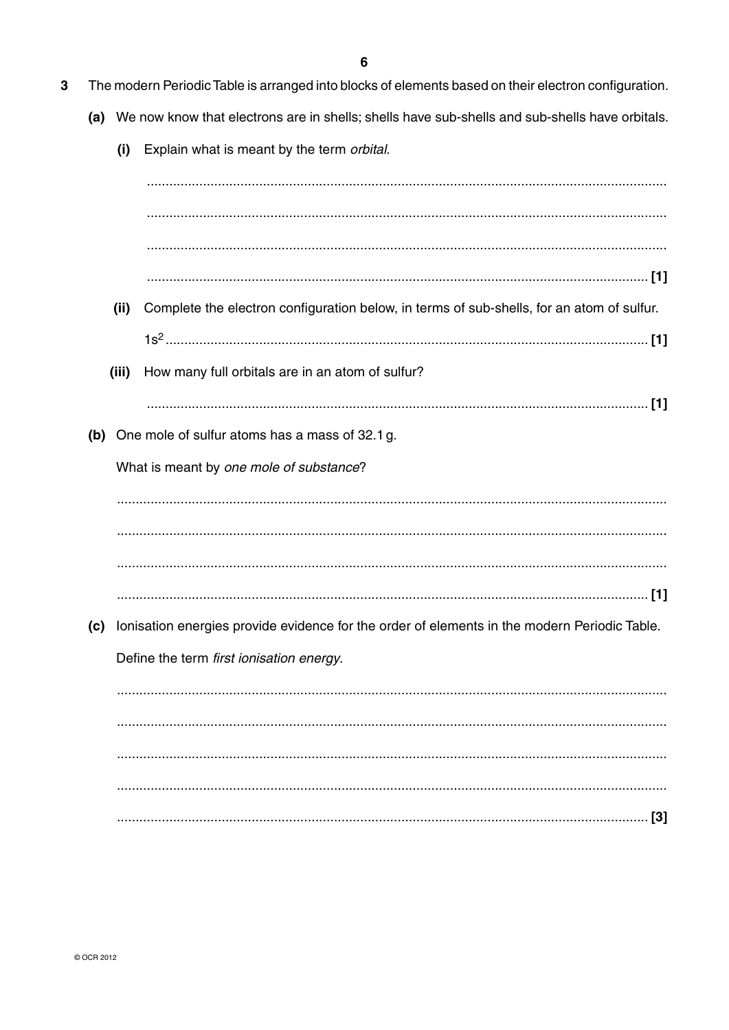- $\overline{3}$ The modern Periodic Table is arranged into blocks of elements based on their electron configuration.
	- (a) We now know that electrons are in shells; shells have sub-shells and sub-shells have orbitals.
		- (i) Explain what is meant by the term orbital.

|     | (ii)  | Complete the electron configuration below, in terms of sub-shells, for an atom of sulfur.    |
|-----|-------|----------------------------------------------------------------------------------------------|
|     |       |                                                                                              |
|     | (iii) | How many full orbitals are in an atom of sulfur?                                             |
|     |       |                                                                                              |
| (b) |       | One mole of sulfur atoms has a mass of 32.1 g.                                               |
|     |       | What is meant by one mole of substance?                                                      |
|     |       |                                                                                              |
|     |       |                                                                                              |
|     |       |                                                                                              |
|     |       |                                                                                              |
| (c) |       | Ionisation energies provide evidence for the order of elements in the modern Periodic Table. |
|     |       | Define the term first ionisation energy.                                                     |
|     |       |                                                                                              |
|     |       |                                                                                              |
|     |       |                                                                                              |
|     |       |                                                                                              |
|     |       |                                                                                              |
|     |       |                                                                                              |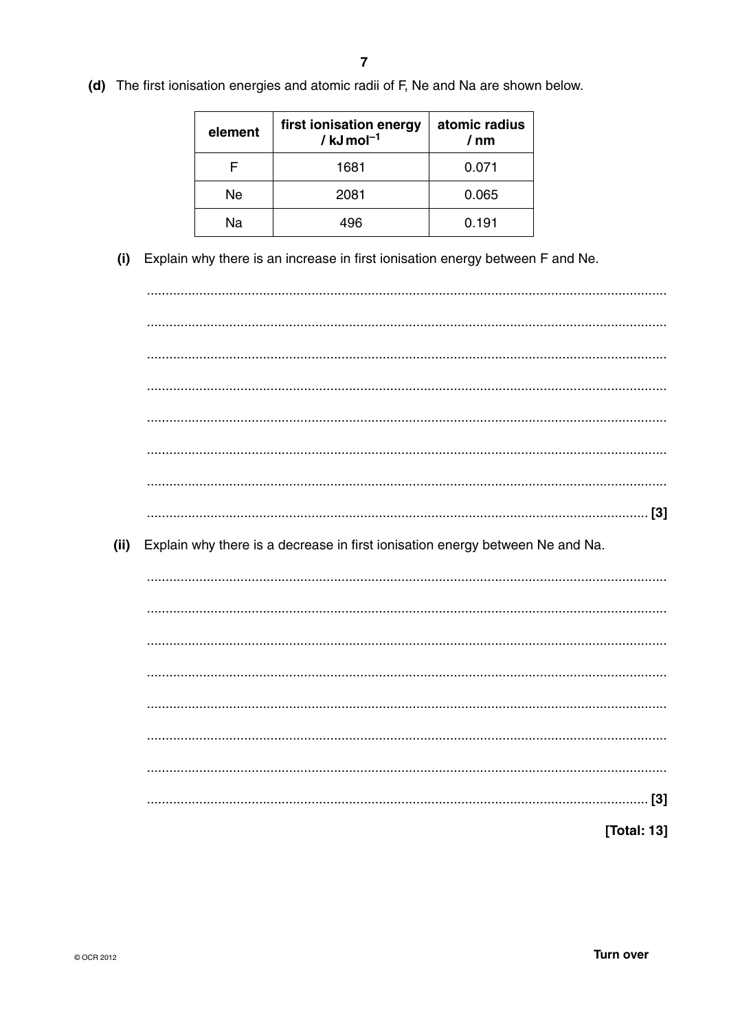(d) The first ionisation energies and atomic radii of F, Ne and Na are shown below.

| element | first ionisation energy<br>/ $kJ$ mol <sup>-1</sup> | atomic radius<br>/ nm |  |
|---------|-----------------------------------------------------|-----------------------|--|
|         | 1681                                                | 0.071                 |  |
| Ne      | 2081                                                | 0.065                 |  |
| Nа      | 196                                                 | 0.191                 |  |

(i) Explain why there is an increase in first ionisation energy between F and Ne.

 $(ii)$ Explain why there is a decrease in first ionisation energy between Ne and Na. [Total: 13]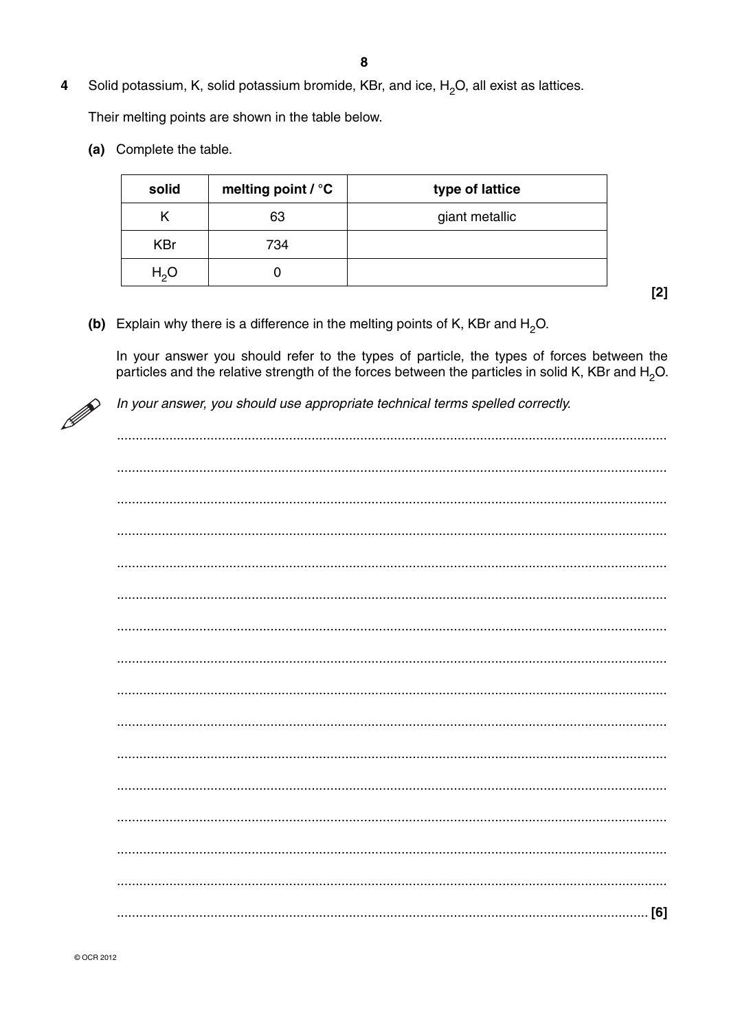Solid potassium, K, solid potassium bromide, KBr, and ice,  $H_2O$ , all exist as lattices.  $\overline{\mathbf{4}}$ 

Their melting points are shown in the table below.

(a) Complete the table.

| solid            | melting point / °C | type of lattice |
|------------------|--------------------|-----------------|
| Κ                | 63                 | giant metallic  |
| <b>KBr</b>       | 734                |                 |
| H <sub>2</sub> O |                    |                 |

 $[2]$ 

(b) Explain why there is a difference in the melting points of K, KBr and  $H_2O$ .

In your answer you should refer to the types of particle, the types of forces between the particles and the relative strength of the forces between the particles in solid K, KBr and H<sub>2</sub>O.



In your answer, you should use appropriate technical terms spelled correctly.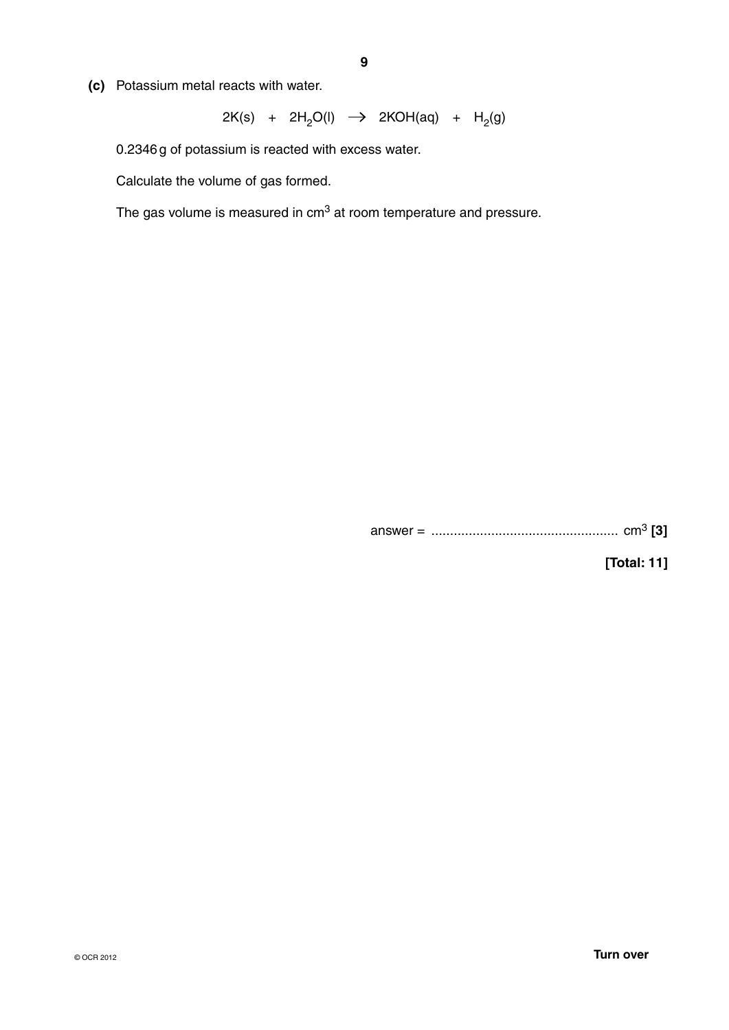**(c)** Potassium metal reacts with water.

$$
2K(s) + 2H2O(l) \rightarrow 2KOH(aq) + H2(g)
$$

0.2346 g of potassium is reacted with excess water.

Calculate the volume of gas formed.

The gas volume is measured in cm3 at room temperature and pressure.

answer = .................................................. cm<sup>3</sup> **[3]**

**[Total: 11]**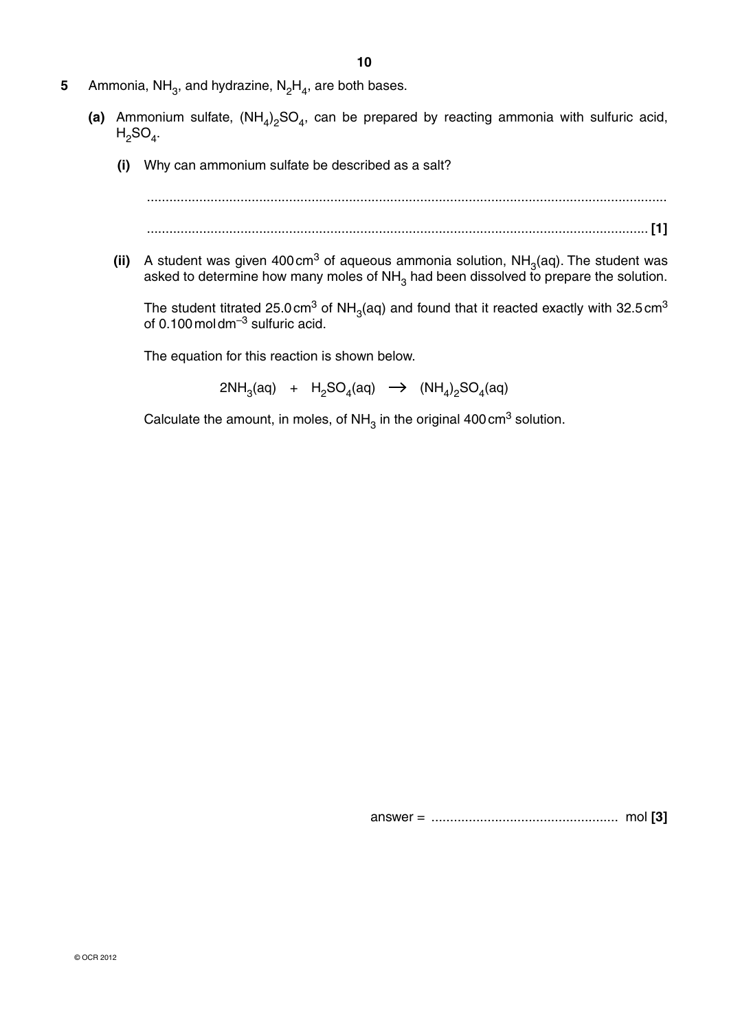- **10**
- **5** Ammonia, NH<sub>3</sub>, and hydrazine,  $N_2H_4$ , are both bases.
- (a) Ammonium sulfate,  $(NH_4)_2SO_4$ , can be prepared by reacting ammonia with sulfuric acid,  $H<sub>2</sub>SO<sub>4</sub>$ .
	- **(i)** Why can ammonium sulfate be described as a salt?

$$
\begin{bmatrix} 1 \end{bmatrix}
$$

**(ii)** A student was given 400 cm<sup>3</sup> of aqueous ammonia solution,  $NH<sub>3</sub>(aq)$ . The student was asked to determine how many moles of NH<sub>3</sub> had been dissolved to prepare the solution.

The student titrated 25.0 cm<sup>3</sup> of NH<sub>3</sub>(aq) and found that it reacted exactly with 32.5 cm<sup>3</sup> of 0.100 mol dm $^{-3}$  sulfuric acid.

The equation for this reaction is shown below.

2NH<sub>3</sub>(aq) + H<sub>2</sub>SO<sub>4</sub>(aq)  $\rightarrow$  (NH<sub>4</sub>)<sub>2</sub>SO<sub>4</sub>(aq)

Calculate the amount, in moles, of  $NH<sub>3</sub>$  in the original 400 cm<sup>3</sup> solution.

answer = .................................................. mol **[3]**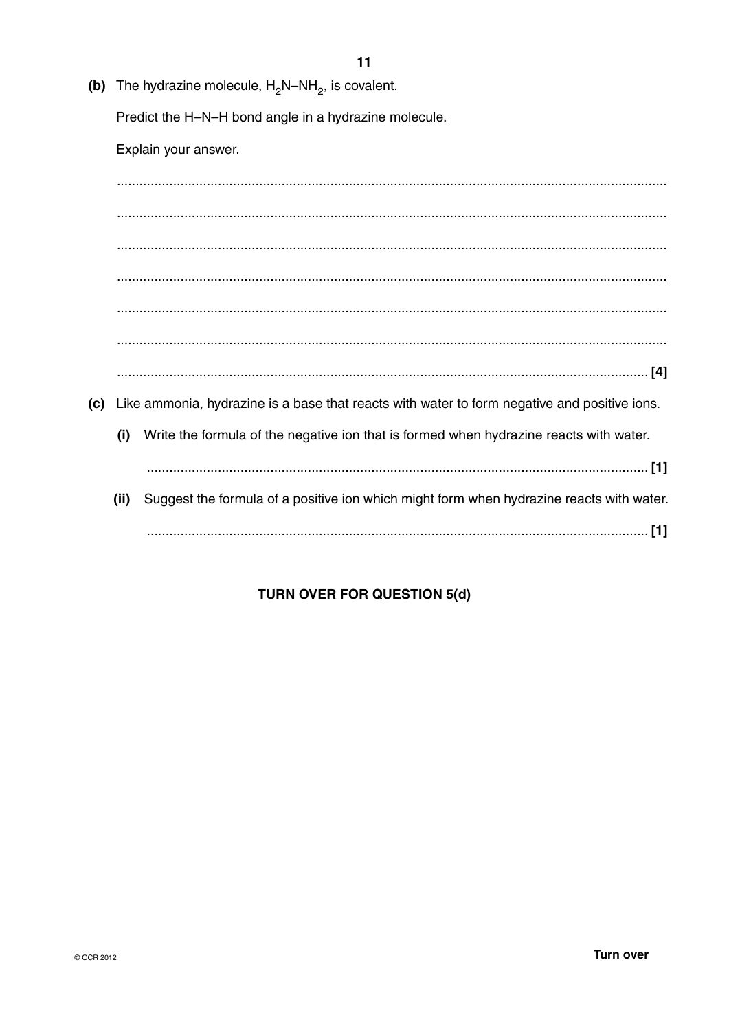(b) The hydrazine molecule,  $H_2N-NH_2$ , is covalent.

Predict the H-N-H bond angle in a hydrazine molecule.

Explain your answer.

(c) Like ammonia, hydrazine is a base that reacts with water to form negative and positive ions.  $(i)$ Write the formula of the negative ion that is formed when hydrazine reacts with water. (ii) Suggest the formula of a positive ion which might form when hydrazine reacts with water. 

# **TURN OVER FOR QUESTION 5(d)**